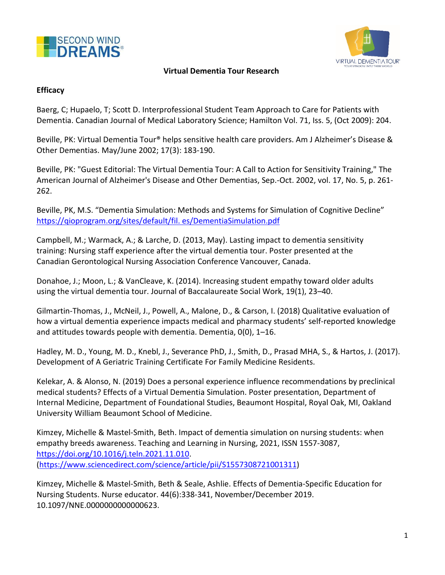



## **Virtual Dementia Tour Research**

## **Efficacy**

Baerg, C; Hupaelo, T; Scott D. Interprofessional Student Team Approach to Care for Patients with Dementia. Canadian Journal of Medical Laboratory Science; Hamilton Vol. 71, Iss. 5, (Oct 2009): 204.

Beville, [PK: Virtual Dementia Tour® helps sensitive health care providers. Am J Alzheimer's Disease &](https://www.secondwind.org/uploads/1/1/5/4/115480895/cci_2017_fc_pip_annual_report.pdf)  Other Dementias. May/June 2002; 17(3): 183-190.

Beville, PK: "Guest Editorial: The Virtual Dementia Tour: A Call to Action for Sensitivity Training," The American Journal of Alzheimer's Disease and Other Dementias, Sep.-Oct. 2002, vol. 17, No. 5, p. 261- 262.

Beville, PK, M.S. "Dementia Simulation: Methods and Systems for Simulation of Cognitive Decline" [https://qioprogram.org/sites/default/fil. es/DementiaSimulation.pdf](https://qioprogram.org/sites/default/fil.%20es/DementiaSimulation.pdf)

Campbell, M.; Warmack, A.; & Larche, D. (2013, May). Lasting impact to dementia sensitivity training: Nursing staff experience [after the virtual dementia tour. Poster presented at the](http://www.secondwind.org/files/dementia-simulation.pdf.%20Accessed%209/2016)  [Canadian G](http://www.secondwind.org/files/dementia-simulation.pdf.%20Accessed%209/2016)erontological Nursing Association Conference Vancouver, Canada.

Donahoe, J.; Moon, L.; & VanCleave, K. (2014). Increasing student empathy toward older adults using the virtual dementia tour. Journal of Baccalaureate Social Work, 19(1), 23–40.

Gilmartin-Thomas, J., McNeil, J., Powell, A., Malone, D., & Carson, I. (2018) Qualitative evaluation of how a virtual dementia experience impacts medical and pharmacy students' self-reported knowledge and attitudes towards people with dementia. Dementia, 0(0), 1–16.

Hadley, M. D., Young, M. D., Knebl, J., Severance PhD, J., Smith, D., Prasad MHA, S., & Hartos, J. (2017). Development of A Geriatric Training Certificate For Family Medicine Residents.

Kelekar, A. & Alonso, N. (2019) Does a personal experience influence recommendations by preclinical medical students? Effects of a Virtual Dementia Simulation. Poster presentation, Department of Internal Medicine, Department of Foundational Studies, Beaumont Hospital, Royal Oak, MI, Oakland University William Beaumont School of Medicine.

Kimzey, Michelle & Mastel-Smith, Beth. Impact of dementia simulation on nursing students: when empathy breeds awareness. Teaching and Learning in Nursing, 2021, ISSN 1557-3087, [https://doi.org/10.1016/j.teln.2021.11.010.](https://doi.org/10.1016/j.teln.2021.11.010) [\(https://www.sciencedirect.com/science/article/pii/S1557308721001311\)](https://www.sciencedirect.com/science/article/pii/S1557308721001311)

Kimzey, Michelle & Mastel-Smith, Beth & Seale, Ashlie. Effects of Dementia-Specific Education for Nursing Students. Nurse educator. 44(6):338-341, November/December 2019. 10.1097/NNE.0000000000000623.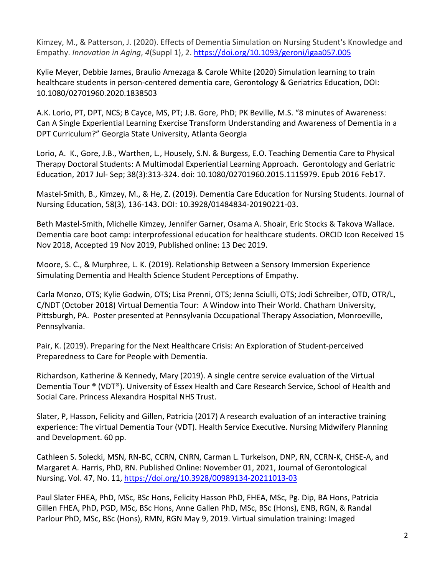Kimzey, M., & Patterson, J. (2020). Effects of Dementia Simulation on Nursing Student's Knowledge and Empathy. *Innovation in Aging*, *4*(Suppl 1), 2[. https://doi.org/10.1093/geroni/igaa057.005](https://doi.org/10.1093/geroni/igaa057.005)

Kylie Meyer, Debbie James, Braulio Amezaga & Carole White (2020) Simulation learning to train healthcare students in person-centered dementia care, Gerontology & Geriatrics Education, DOI: 10.1080/02701960.2020.1838503

A.K. Lorio, PT, DPT, NCS; B Cayce, MS, PT; J.B. Gore, PhD; PK Beville, M.S. "8 minutes of Awareness: Can A Single Experiential Learning Exercise Transform Understanding and Awareness of Dementia in a DPT Curriculum?" Georgia State University, Atlanta Georgia

Lorio, A. K., Gore, J.B., Warthen, L., Housely, S.N. & Burgess, E.O. Teaching Dementia Care to Physical Therapy Doctoral Students: A Multimodal Experiential Learning Approach. Gerontology and Geriatric Education, 2017 Jul- Sep; 38(3):313-324. doi: 10.1080/02701960.2015.1115979. Epub 2016 Feb17.

Mastel-Smith, B., Kimzey, M., & He, Z. (2019). Dementia Care Education for Nursing Students. Journal of Nursing Education, 58(3), 136-143. DOI: 10.3928/01484834-20190221-03.

Beth Mastel-Smith, Michelle Kimzey, Jennifer Garner, Osama A. Shoair, Eric Stocks & Takova Wallace. Dementia care boot camp: interprofessional education for healthcare students. ORCID Icon Received 15 Nov 2018, Accepted 19 Nov 2019, Published online: 13 Dec 2019.

Moore, S. C., & Murphree, L. K. (2019). Relationship Between a Sensory Immersion Experience Simulating Dementia and Health Science Student Perceptions of Empathy.

Carla Monzo, OTS; Kylie Godwin, OTS; Lisa Prenni, OTS; Jenna Sciulli, OTS; Jodi Schreiber, OTD, OTR/L, C/NDT (October 2018) Virtual Dementia Tour: A Window into Their World. Chatham University, Pittsburgh, PA. Poster presented at Pennsylvania Occupational Therapy Association, Monroeville, Pennsylvania.

Pair, K. (2019). Preparing for the Next Healthcare Crisis: An Exploration of Student-perceived Preparedness to Care for People with Dementia.

Richardson, Katherine & Kennedy, Mary (2019). A single centre service evaluation of the Virtual Dementia Tour ® (VDT®). University of Essex Health and Care Research Service, School of Health and Social Care. Princess Alexandra Hospital NHS Trust.

Slater, P, Hasson, Felicity and Gillen, Patricia (2017) A research evaluation of an interactive training experience: The virtual Dementia Tour (VDT). Health Service [Executive. Nursing Midwifery Planning](https://doi.org/10.3928/00989134-20140818-02)  [and D](https://doi.org/10.3928/00989134-20140818-02)evelopment. 60 pp.

Cathleen S. Solecki, MSN, RN-BC, CCRN, CNRN, Carman L. Turkelson, DNP, RN, CCRN-K, CHSE-A, and Margaret A. Harris, PhD, RN. Published Online: November 01, 2021, Journal of Gerontological Nursing. Vol. 47, No. 11,<https://doi.org/10.3928/00989134-20211013-03>

Paul Slater FHEA, PhD, MSc, BSc Hons, Felicity Hasson PhD, FHEA, MSc, Pg. Dip, BA Hons, Patricia Gillen FHEA, PhD, PGD, MSc, BSc Hons, Anne Gallen PhD, MSc, BSc (Hons), ENB, RGN, & Randal Parlour PhD, MSc, BSc (Hons), RMN, RGN May 9, 2019. Virtual simulation training: Imaged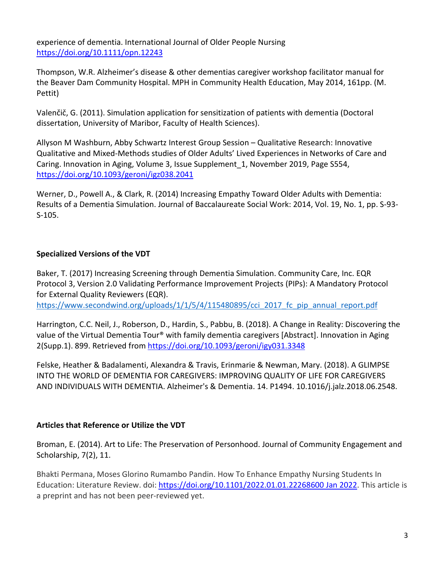experience of dementia. International Journal of Older People Nursing <https://doi.org/10.1111/opn.12243>

Thompson, W.R. Alzheimer's disease & other dementias caregiver workshop facilitator manual for the Beaver Dam Community Hospital. MPH in Community Health Education, May 2014, 161pp. (M. Pettit)

Valenčič, G. (2011). Simulation application for sensitization of patients with dementia (Doctoral dissertation, University of Maribor, Faculty of Health Sciences).

Allyson M Washburn, Abby Schwartz Interest Group Session – Qualitative Research: Innovative Qualitative and Mixed-Methods studies of Older Adults' Lived Experiences in Networks of Care and Caring. Innovation in Aging, Volume 3, Issue Supplement\_1, November 2019, Page S554, <https://doi.org/10.1093/geroni/igz038.2041>

Werner, D., Powell A., & Clark, R. (2014) Increasing Empathy Toward Older Adults with Dementia: Results of a Dementia Simulation. Journal of Baccalaureate Social Work: 2014, Vol. 19, No. 1, pp. S-93- S-105.

## **Specialized Versions of the VDT**

Baker, T. (2017) Increasing Screening through Dementia Simulation. Community Care, Inc. EQR Protocol 3, Version 2.0 Validating Performance Improvement Projects (PIPs): A Mandatory Protocol for External Quality Reviewers (EQR).

[https://www.secondwind.org/uploads/1/1/5/4/115480895/cci\\_2017\\_fc\\_pip\\_annual\\_report.pdf](http://www.secondwind.org/uploads/1/1/5/4/115480895/cci_2017_fc_pip_annual_report.pdf)

Harrington, C.C. Neil, J., Roberson, D., Hardin, S., Pabbu, B. (2018). A Change in Reality: Discovering the value of the Virtual Dementia Tour® with family dementia caregivers [Abstract]. Innovation in Aging 2(Supp.1). 899. Retrieved from<https://doi.org/10.1093/geroni/igy031.3348>

Felske, Heather & Badalamenti, Alexandra & Travis, Erinmarie & Newman, Mary. (2018). A GLIMPSE INTO THE WORLD OF DEMENTIA FOR CAREGIVERS: IMPROVING QUALITY OF LIFE FOR CAREGIVERS AND INDIVIDUALS WITH DEMENTIA. Alzheimer's & Dementia. 14. P1494. 10.1016/j.jalz.2018.06.2548.

## **Articles that Reference or Utilize the VDT**

Broman, E. (2014). Art to Life: The Preservation of Personhood. Journal of Community Engagement and Scholarship, 7(2), 11.

Bhakti Permana, Moses Glorino Rumambo Pandin. How To Enhance Empathy Nursing Students In Education: Literature Review. doi: [https://doi.org/10.1101/2022.01.01.22268600](https://doi.org/10.1101/2022.01.01.22268600%20Jan%202022) Jan 2022. This article is a preprint and has not been peer-reviewed yet.